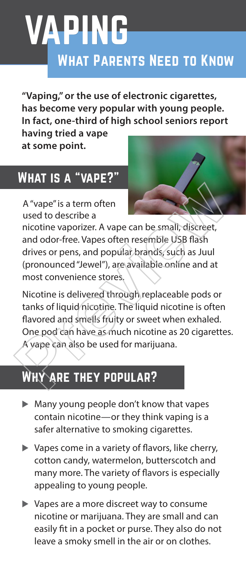# VAPING

### What Parents Need to Know

**"Vaping," or the use of electronic cigarettes, has become very popular with young people. In fact, one-third of high school seniors report** 

**having tried a vape at some point.** 

### What is a "vape?"

A "vape" is a term often used to describe a



nicotine vaporizer. A vape can be small, discreet, and odor-free. Vapes often resemble USB flash drives or pens, and popular brands, such as Juul (pronounced "Jewel"), are available online and at most convenience stores.

Nicotine is delivered through replaceable pods or tanks of liquid nicotine. The liquid nicotine is often flavored and smells fruity or sweet when exhaled. One pod can have as much nicotine as 20 cigarettes. A vape can also be used for marijuana. A "vape" is a term often<br>used to describe a<br>nicotine vaporizer. A vape can be small, discreet,<br>and odor-free. Vapes often resemble USB flash<br>drives or pens, and popular brands, such as Juul<br>(pronounced "Jewel"), are availa

## **ARE THEY POPULAR?**

- $\blacktriangleright$  Many young people don't know that vapes contain nicotine—or they think vaping is a safer alternative to smoking cigarettes.
- $\blacktriangleright$  Vapes come in a variety of flavors, like cherry, cotton candy, watermelon, butterscotch and many more. The variety of flavors is especially appealing to young people.
- $\triangleright$  Vapes are a more discreet way to consume nicotine or marijuana. They are small and can easily fit in a pocket or purse. They also do not leave a smoky smell in the air or on clothes.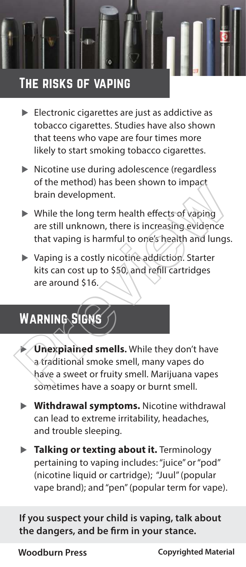

### The risks of vaping

- $\blacktriangleright$  Electronic cigarettes are just as addictive as tobacco cigarettes. Studies have also shown that teens who vape are four times more likely to start smoking tobacco cigarettes.
- $\blacktriangleright$  Nicotine use during adolescence (regardless of the method) has been shown to impact brain development.
- $\triangleright$  While the long term health effects of vaping are still unknown, there is increasing evidence that vaping is harmful to one's health and lungs.
- $\triangleright$  Vaping is a costly nicotine addiction. Starter kits can cost up to \$50, and refill cartridges are around \$16.

### WARNING SIGN

- **Unexplained smells**. While they don't have a traditional smoke smell, many vapes do have a sweet or fruity smell. Marijuana vapes sometimes have a soapy or burnt smell. of the method) has been shown to impact<br>
brain development.<br>
► While the long term health effects of vaping<br>
are still unknown, there is increasing evidence<br>
that vaping is a costly nicotine addiction. Starter<br>
kits can c
	- **EXECUTE: Withdrawal symptoms.** Nicotine withdrawal can lead to extreme irritability, headaches, and trouble sleeping.
	- **Talking or texting about it.** Terminology pertaining to vaping includes: "juice" or "pod" (nicotine liquid or cartridge); "Juul" (popular vape brand); and "pen" (popular term for vape).

**If you suspect your child is vaping, talk about the dangers, and be firm in your stance.**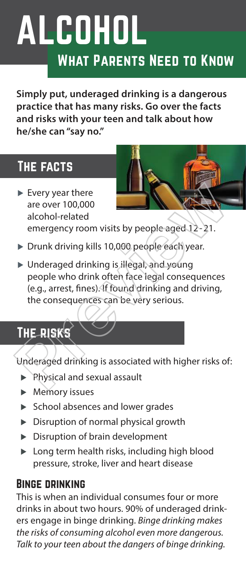## What Parents Need to Know ALCOHOL

**Simply put, underaged drinking is a dangerous practice that has many risks. Go over the facts and risks with your teen and talk about how he/she can "say no."** 

### The facts

- $\blacktriangleright$  Every year there are over 100,000 alcohol-related emergency room visits by people aged 12-21.
- $\triangleright$  Drunk driving kills 10,000 people each year.
- $\triangleright$  Underaged drinking is illegal, and young people who drink often face legal consequences (e.g., arrest, fines). If found drinking and driving, the consequences can be very serious. Proposed and Sexual assault<br>
Previews are over 100,000<br>
alcohol-related<br>
emergency room visits by people aged 12-21.<br>
Prunk driving kills 10,000 people each year.<br>
Punderaged drinking is illegal, and young<br>
people who dri

### The risks

Underaged drinking is associated with higher risks of:

- $\blacktriangleright$  Physical and sexual assault
- $\blacktriangleright$  Memory issues
- $\triangleright$  School absences and lower grades
- $\triangleright$  Disruption of normal physical growth
- $\triangleright$  Disruption of brain development
- $\blacktriangleright$  Long term health risks, including high blood pressure, stroke, liver and heart disease

#### Binge drinking

This is when an individual consumes four or more drinks in about two hours. 90% of underaged drinkers engage in binge drinking. Binge drinking makes the risks of consuming alcohol even more dangerous. Talk to your teen about the dangers of binge drinking.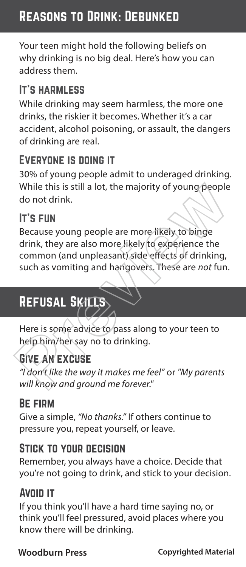### Reasons to Drink: Debunked

Your teen might hold the following beliefs on why drinking is no big deal. Here's how you can address them.

#### It's harmless

While drinking may seem harmless, the more one drinks, the riskier it becomes. Whether it's a car accident, alcohol poisoning, or assault, the dangers of drinking are real.

#### Everyone is doing it

30% of young people admit to underaged drinking. While this is still a lot, the majority of young people do not drink.

#### It's fun

Because young people are more likely to binge drink, they are also more likely to experience the common (and unpleasant) side effects of drinking, such as vomiting and hangovers. These are not fun. While this is still a lot, the majority of young people<br>do not drink.<br><br>**IT'S FUN**<br>Because young people are more likely to binge<br>drink, they are also more likely to experience the<br>common (and unpleasant) side effects of dri

### REFUSAL SKILLS

Here is some advice to pass along to your teen to help him/her say no to drinking.

### Give an excuse

"I don't like the way it makes me feel" or "My parents will know and ground me forever."

#### Be firm

Give a simple, "No thanks." If others continue to pressure you, repeat yourself, or leave.

#### Stick to your decision

Remember, you always have a choice. Decide that you're not going to drink, and stick to your decision.

### Avoid it

If you think you'll have a hard time saying no, or think you'll feel pressured, avoid places where you know there will be drinking.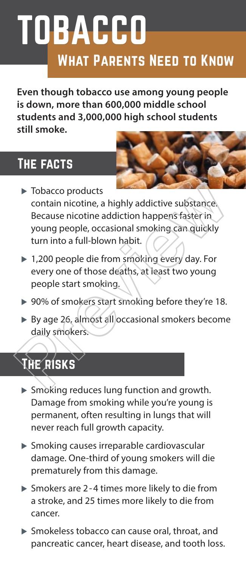# TOBACCO What Parents Need to Know

**Even though tobacco use among young people is down, more than 600,000 middle school students and 3,000,000 high school students still smoke.**

### The facts

- $\blacktriangleright$  Tobacco products contain nicotine, a highly addictive substance. Because nicotine addiction happens faster in young people, occasional smoking can quickly turn into a full-blown habit. ight and the Smoking reduces line function and growth<br>
Smoking reduces and the Smoking Canadian Smoking Canadian Appension of the Smoking Canadian Chief<br>
Prevery one of those deaths, at least two young<br>
people start smoki
	- $\triangleright$  1,200 people die from smoking every day. For every one of those deaths, at least two young people start smoking.
	- $\triangleright$  90% of smokers start smoking before they're 18.
	- $\triangleright$  By age 26, almost all occasional smokers become daily smokers.

### **HE** RISKS

- $\triangleright$  Smoking reduces lung function and growth. Damage from smoking while you're young is permanent, often resulting in lungs that will never reach full growth capacity.
- $\triangleright$  Smoking causes irreparable cardiovascular damage. One-third of young smokers will die prematurely from this damage.
- $\triangleright$  Smokers are 2-4 times more likely to die from a stroke, and 25 times more likely to die from cancer.
- $\triangleright$  Smokeless tobacco can cause oral, throat, and pancreatic cancer, heart disease, and tooth loss.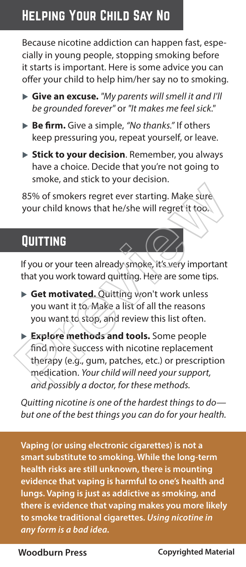### Helping Your Child Say No

Because nicotine addiction can happen fast, especially in young people, stopping smoking before it starts is important. Here is some advice you can offer your child to help him/her say no to smoking.

- ▶ Give an excuse. "My parents will smell it and I'll be grounded forever" or "It makes me feel sick."
- ▶ Be firm. Give a simple, "No thanks." If others keep pressuring you, repeat yourself, or leave.
- ▶ Stick to your decision. Remember, you always have a choice. Decide that you're not going to smoke, and stick to your decision.

85% of smokers regret ever starting. Make sure your child knows that he/she will regret it too.

### **QUITTING**

If you or your teen already smoke, it's very important that you work toward quitting. Here are some tips.

- ▶ Get motivated. Quitting won't work unless you want it to. Make a list of all the reasons you want to stop, and review this list often.
- u **Explore methods and tools.** Some people find more success with nicotine replacement therapy (e.g., gum, patches, etc.) or prescription medication. Your child will need your support, and possibly a doctor, for these methods. S5% of smokers regret ever starting. Make sure<br>your child knows that he/she will regret it too.<br>
The valid knows that he/she will regret it too.<br>
The valid knows that he/she will regret it too.<br>
The valid work toward quit

Quitting nicotine is one of the hardest things to do but one of the best things you can do for your health.

whood burns and complete the second service of the service of the service of the service of the service of the<br>Complete of the service of the service of the service of the service of the service of the service of the servi **Vaping (or using electronic cigarettes) is not a smart substitute to smoking. While the long-term health risks are still unknown, there is mounting evidence that vaping is harmful to one's health and lungs. Vaping is just as addictive as smoking, and there is evidence that vaping makes you more likely to smoke traditional cigarettes. Using nicotine in any form is a bad idea.**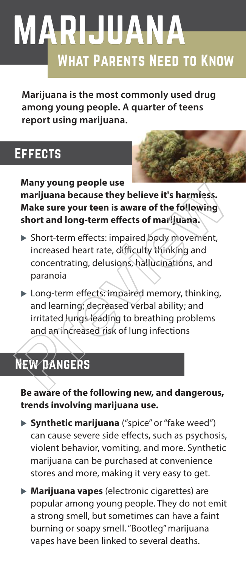# MARIJUANA What Parents Need to Know

**Marijuana is the most commonly used drug among young people. A quarter of teens report using marijuana.** 

### **EFFECTS**

**Many young people use** 



**marijuana because they believe it's harmless. Make sure your teen is aware of the following short and long-term effects of marijuana.**

- $\triangleright$  Short-term effects: impaired body movement, increased heart rate, difficulty thinking and concentrating, delusions, hallucinations, and paranoia
- $\blacktriangleright$  Long-term effects: impaired memory, thinking, and learning; decreased verbal ability; and irritated lungs leading to breathing problems and an increased risk of lung infections Many young people use<br>
marijuana because they believe it's harmless.<br>
Make sure your teen is aware of the following<br>
short and long-term effects of marijuana.<br>
> Short-term effects: impaired body movement,<br>
increased heart

## New dangers

**Be aware of the following new, and dangerous, trends involving marijuana use.** 

- ▶ Synthetic marijuana ("spice" or "fake weed") can cause severe side effects, such as psychosis, violent behavior, vomiting, and more. Synthetic marijuana can be purchased at convenience stores and more, making it very easy to get.
- ▶ **Marijuana vapes** (electronic cigarettes) are popular among young people. They do not emit a strong smell, but sometimes can have a faint burning or soapy smell. "Bootleg" marijuana vapes have been linked to several deaths.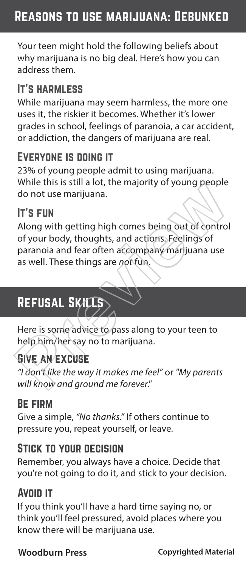### Reasons to use marijuana: Debunked

Your teen might hold the following beliefs about why marijuana is no big deal. Here's how you can address them.

#### It's harmless

While marijuana may seem harmless, the more one uses it, the riskier it becomes. Whether it's lower grades in school, feelings of paranoia, a car accident, or addiction, the dangers of marijuana are real.

#### Everyone is doing it

23% of young people admit to using marijuana. While this is still a lot, the majority of young people do not use marijuana.

#### It's fun

Along with getting high comes being out of control of your body, thoughts, and actions. Feelings of paranoia and fear often accompany marijuana use as well. These things are not fun. While this is sulf a lot, the majority of young people<br>do not use marijuana.<br> **IT'S FUN**<br>
Along with getting high comes being out of control<br>
of your body, thoughts, and actions. Feelings of<br>
paranoia and fear often accomp

### REFUSAL SKILLS

Here is some advice to pass along to your teen to help him/her say no to marijuana.

#### Give an excuse

"I don't like the way it makes me feel" or "My parents will know and ground me forever."

#### Be firm

Give a simple, "No thanks." If others continue to pressure you, repeat yourself, or leave.

#### Stick to your decision

Remember, you always have a choice. Decide that you're not going to do it, and stick to your decision.

#### Avoid it

If you think you'll have a hard time saying no, or think you'll feel pressured, avoid places where you know there will be marijuana use.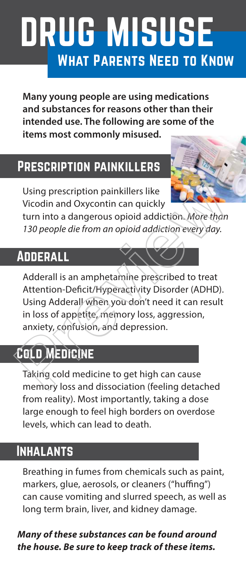# DRUG MISUSE What Parents Need to Know

**Many young people are using medications and substances for reasons other than their intended use. The following are some of the items most commonly misused.**

### Prescription painkillers

Using prescription painkillers like Vicodin and Oxycontin can quickly

turn into a dangerous opioid addiction. More than 130 people die from an opioid addiction every day.

### **ADDERALL**

Adderall is an amphetamine prescribed to treat Attention-Deficit/Hyperactivity Disorder (ADHD). Using Adderall when you don't need it can result in loss of appetite, memory loss, aggression, anxiety, confusion, and depression. Using prescription painkillers like<br>Vicodin and Oxycontin can quickly<br>turn into a dangerous opioid addiction. More than<br>130 people die from an opioid addiction every day.<br>**ADDERALL**<br>Adderall is an amphetamine prescribed to

## Cold Medicine

Taking cold medicine to get high can cause memory loss and dissociation (feeling detached from reality). Most importantly, taking a dose large enough to feel high borders on overdose levels, which can lead to death.

### **INHALANTS**

Breathing in fumes from chemicals such as paint, markers, glue, aerosols, or cleaners ("huffing") can cause vomiting and slurred speech, as well as long term brain, liver, and kidney damage.

#### **Many of these substances can be found around the house. Be sure to keep track of these items.**